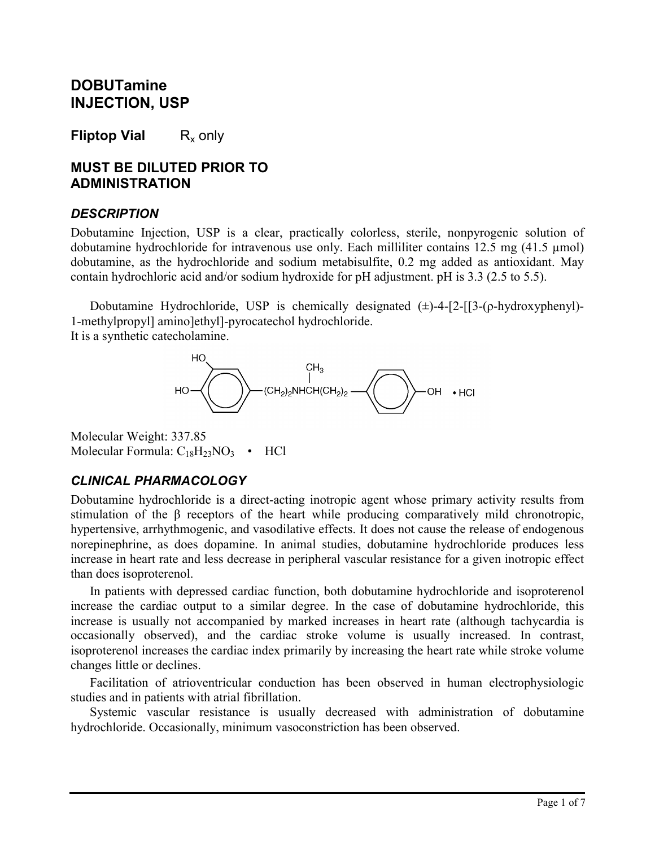# **DOBUTamine INJECTION, USP**

**Fliptop Vial** R<sub>x</sub> only

## **MUST BE DILUTED PRIOR TO ADMINISTRATION**

#### *DESCRIPTION*

Dobutamine Injection, USP is a clear, practically colorless, sterile, nonpyrogenic solution of dobutamine hydrochloride for intravenous use only. Each milliliter contains 12.5 mg (41.5 µmol) dobutamine, as the hydrochloride and sodium metabisulfite, 0.2 mg added as antioxidant. May contain hydrochloric acid and/or sodium hydroxide for pH adjustment. pH is 3.3 (2.5 to 5.5).

Dobutamine Hydrochloride, USP is chemically designated  $(\pm)$ -4-[2-[[3-(ρ-hydroxyphenyl]-1-methylpropyl] amino]ethyl]-pyrocatechol hydrochloride. It is a synthetic catecholamine.



Molecular Weight: 337.85 Molecular Formula:  $C_{18}H_{23}NO_3$  • HCl

## *CLINICAL PHARMACOLOGY*

Dobutamine hydrochloride is a direct-acting inotropic agent whose primary activity results from stimulation of the β receptors of the heart while producing comparatively mild chronotropic, hypertensive, arrhythmogenic, and vasodilative effects. It does not cause the release of endogenous norepinephrine, as does dopamine. In animal studies, dobutamine hydrochloride produces less increase in heart rate and less decrease in peripheral vascular resistance for a given inotropic effect than does isoproterenol.

In patients with depressed cardiac function, both dobutamine hydrochloride and isoproterenol increase the cardiac output to a similar degree. In the case of dobutamine hydrochloride, this increase is usually not accompanied by marked increases in heart rate (although tachycardia is occasionally observed), and the cardiac stroke volume is usually increased. In contrast, isoproterenol increases the cardiac index primarily by increasing the heart rate while stroke volume changes little or declines.

Facilitation of atrioventricular conduction has been observed in human electrophysiologic studies and in patients with atrial fibrillation.

Systemic vascular resistance is usually decreased with administration of dobutamine hydrochloride. Occasionally, minimum vasoconstriction has been observed.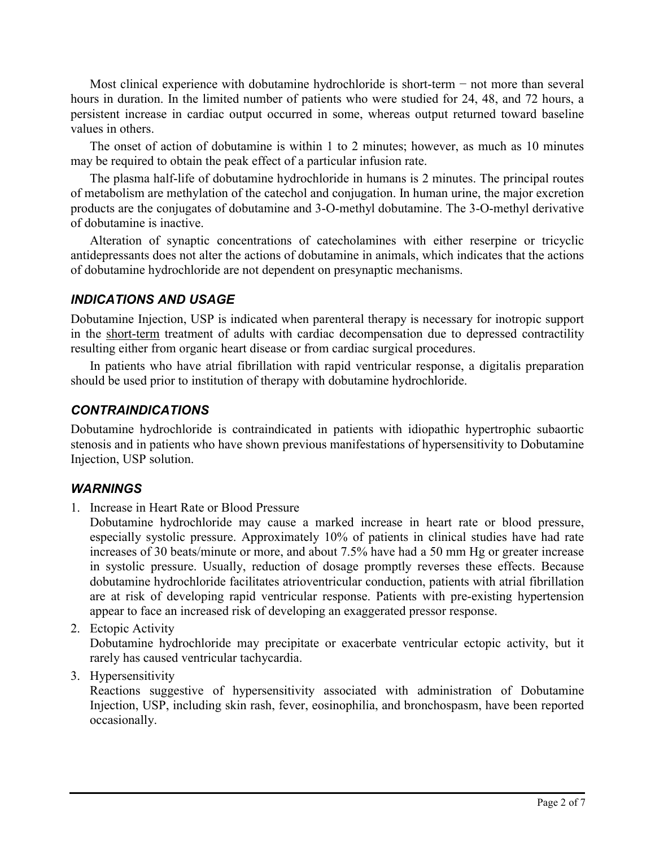Most clinical experience with dobutamine hydrochloride is short-term − not more than several hours in duration. In the limited number of patients who were studied for 24, 48, and 72 hours, a persistent increase in cardiac output occurred in some, whereas output returned toward baseline values in others.

The onset of action of dobutamine is within 1 to 2 minutes; however, as much as 10 minutes may be required to obtain the peak effect of a particular infusion rate.

The plasma half-life of dobutamine hydrochloride in humans is 2 minutes. The principal routes of metabolism are methylation of the catechol and conjugation. In human urine, the major excretion products are the conjugates of dobutamine and 3-O-methyl dobutamine. The 3-O-methyl derivative of dobutamine is inactive.

Alteration of synaptic concentrations of catecholamines with either reserpine or tricyclic antidepressants does not alter the actions of dobutamine in animals, which indicates that the actions of dobutamine hydrochloride are not dependent on presynaptic mechanisms.

### *INDICATIONS AND USAGE*

Dobutamine Injection, USP is indicated when parenteral therapy is necessary for inotropic support in the short-term treatment of adults with cardiac decompensation due to depressed contractility resulting either from organic heart disease or from cardiac surgical procedures.

In patients who have atrial fibrillation with rapid ventricular response, a digitalis preparation should be used prior to institution of therapy with dobutamine hydrochloride.

### *CONTRAINDICATIONS*

Dobutamine hydrochloride is contraindicated in patients with idiopathic hypertrophic subaortic stenosis and in patients who have shown previous manifestations of hypersensitivity to Dobutamine Injection, USP solution.

#### *WARNINGS*

1. Increase in Heart Rate or Blood Pressure

Dobutamine hydrochloride may cause a marked increase in heart rate or blood pressure, especially systolic pressure. Approximately 10% of patients in clinical studies have had rate increases of 30 beats/minute or more, and about 7.5% have had a 50 mm Hg or greater increase in systolic pressure. Usually, reduction of dosage promptly reverses these effects. Because dobutamine hydrochloride facilitates atrioventricular conduction, patients with atrial fibrillation are at risk of developing rapid ventricular response. Patients with pre-existing hypertension appear to face an increased risk of developing an exaggerated pressor response.

2. Ectopic Activity

Dobutamine hydrochloride may precipitate or exacerbate ventricular ectopic activity, but it rarely has caused ventricular tachycardia.

3. Hypersensitivity

Reactions suggestive of hypersensitivity associated with administration of Dobutamine Injection, USP, including skin rash, fever, eosinophilia, and bronchospasm, have been reported occasionally.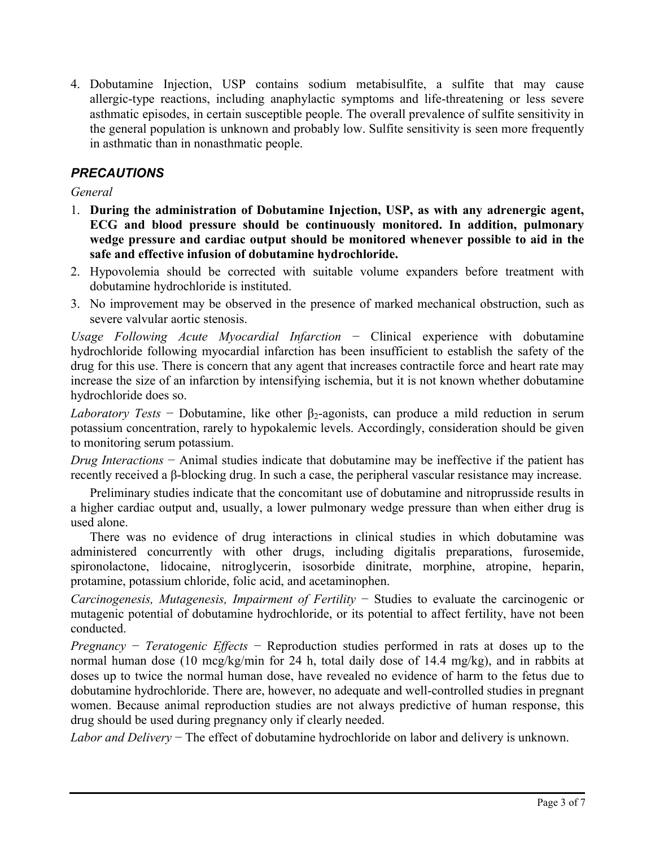4. Dobutamine Injection, USP contains sodium metabisulfite, a sulfite that may cause allergic-type reactions, including anaphylactic symptoms and life-threatening or less severe asthmatic episodes, in certain susceptible people. The overall prevalence of sulfite sensitivity in the general population is unknown and probably low. Sulfite sensitivity is seen more frequently in asthmatic than in nonasthmatic people.

## *PRECAUTIONS*

*General*

- 1. **During the administration of Dobutamine Injection, USP, as with any adrenergic agent, ECG and blood pressure should be continuously monitored. In addition, pulmonary wedge pressure and cardiac output should be monitored whenever possible to aid in the safe and effective infusion of dobutamine hydrochloride.**
- 2. Hypovolemia should be corrected with suitable volume expanders before treatment with dobutamine hydrochloride is instituted.
- 3. No improvement may be observed in the presence of marked mechanical obstruction, such as severe valvular aortic stenosis.

*Usage Following Acute Myocardial Infarction* − Clinical experience with dobutamine hydrochloride following myocardial infarction has been insufficient to establish the safety of the drug for this use. There is concern that any agent that increases contractile force and heart rate may increase the size of an infarction by intensifying ischemia, but it is not known whether dobutamine hydrochloride does so.

*Laboratory Tests* – Dobutamine, like other  $\beta_2$ -agonists, can produce a mild reduction in serum potassium concentration, rarely to hypokalemic levels. Accordingly, consideration should be given to monitoring serum potassium.

*Drug Interactions* − Animal studies indicate that dobutamine may be ineffective if the patient has recently received a β-blocking drug. In such a case, the peripheral vascular resistance may increase.

Preliminary studies indicate that the concomitant use of dobutamine and nitroprusside results in a higher cardiac output and, usually, a lower pulmonary wedge pressure than when either drug is used alone.

There was no evidence of drug interactions in clinical studies in which dobutamine was administered concurrently with other drugs, including digitalis preparations, furosemide, spironolactone, lidocaine, nitroglycerin, isosorbide dinitrate, morphine, atropine, heparin, protamine, potassium chloride, folic acid, and acetaminophen.

*Carcinogenesis, Mutagenesis, Impairment of Fertility* − Studies to evaluate the carcinogenic or mutagenic potential of dobutamine hydrochloride, or its potential to affect fertility, have not been conducted.

*Pregnancy* − *Teratogenic Effects* − Reproduction studies performed in rats at doses up to the normal human dose (10 mcg/kg/min for 24 h, total daily dose of 14.4 mg/kg), and in rabbits at doses up to twice the normal human dose, have revealed no evidence of harm to the fetus due to dobutamine hydrochloride. There are, however, no adequate and well-controlled studies in pregnant women. Because animal reproduction studies are not always predictive of human response, this drug should be used during pregnancy only if clearly needed.

*Labor and Delivery* − The effect of dobutamine hydrochloride on labor and delivery is unknown.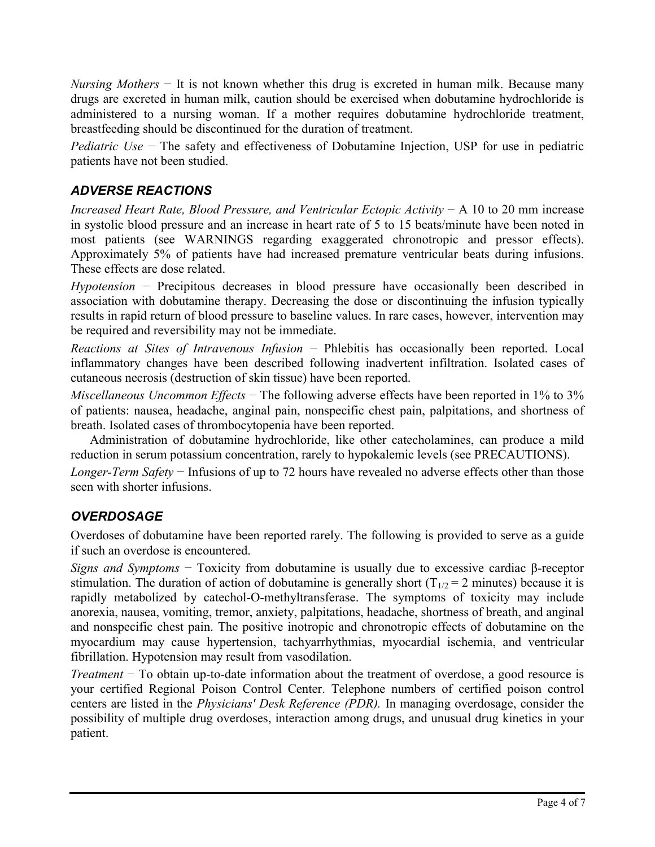*Nursing Mothers* − It is not known whether this drug is excreted in human milk. Because many drugs are excreted in human milk, caution should be exercised when dobutamine hydrochloride is administered to a nursing woman. If a mother requires dobutamine hydrochloride treatment, breastfeeding should be discontinued for the duration of treatment.

*Pediatric Use* − The safety and effectiveness of Dobutamine Injection, USP for use in pediatric patients have not been studied.

## *ADVERSE REACTIONS*

*Increased Heart Rate, Blood Pressure, and Ventricular Ectopic Activity* − A 10 to 20 mm increase in systolic blood pressure and an increase in heart rate of 5 to 15 beats/minute have been noted in most patients (see WARNINGS regarding exaggerated chronotropic and pressor effects). Approximately 5% of patients have had increased premature ventricular beats during infusions. These effects are dose related.

*Hypotension* − Precipitous decreases in blood pressure have occasionally been described in association with dobutamine therapy. Decreasing the dose or discontinuing the infusion typically results in rapid return of blood pressure to baseline values. In rare cases, however, intervention may be required and reversibility may not be immediate.

*Reactions at Sites of Intravenous Infusion* − Phlebitis has occasionally been reported. Local inflammatory changes have been described following inadvertent infiltration. Isolated cases of cutaneous necrosis (destruction of skin tissue) have been reported.

*Miscellaneous Uncommon Effects* − The following adverse effects have been reported in 1% to 3% of patients: nausea, headache, anginal pain, nonspecific chest pain, palpitations, and shortness of breath. Isolated cases of thrombocytopenia have been reported.

Administration of dobutamine hydrochloride, like other catecholamines, can produce a mild reduction in serum potassium concentration, rarely to hypokalemic levels (see PRECAUTIONS).

*Longer-Term Safety* − Infusions of up to 72 hours have revealed no adverse effects other than those seen with shorter infusions.

## *OVERDOSAGE*

Overdoses of dobutamine have been reported rarely. The following is provided to serve as a guide if such an overdose is encountered.

*Signs and Symptoms* − Toxicity from dobutamine is usually due to excessive cardiac β-receptor stimulation. The duration of action of dobutamine is generally short  $(T_{1/2} = 2$  minutes) because it is rapidly metabolized by catechol-O-methyltransferase. The symptoms of toxicity may include anorexia, nausea, vomiting, tremor, anxiety, palpitations, headache, shortness of breath, and anginal and nonspecific chest pain. The positive inotropic and chronotropic effects of dobutamine on the myocardium may cause hypertension, tachyarrhythmias, myocardial ischemia, and ventricular fibrillation. Hypotension may result from vasodilation.

*Treatment* − To obtain up-to-date information about the treatment of overdose, a good resource is your certified Regional Poison Control Center. Telephone numbers of certified poison control centers are listed in the *Physicians' Desk Reference (PDR).* In managing overdosage, consider the possibility of multiple drug overdoses, interaction among drugs, and unusual drug kinetics in your patient.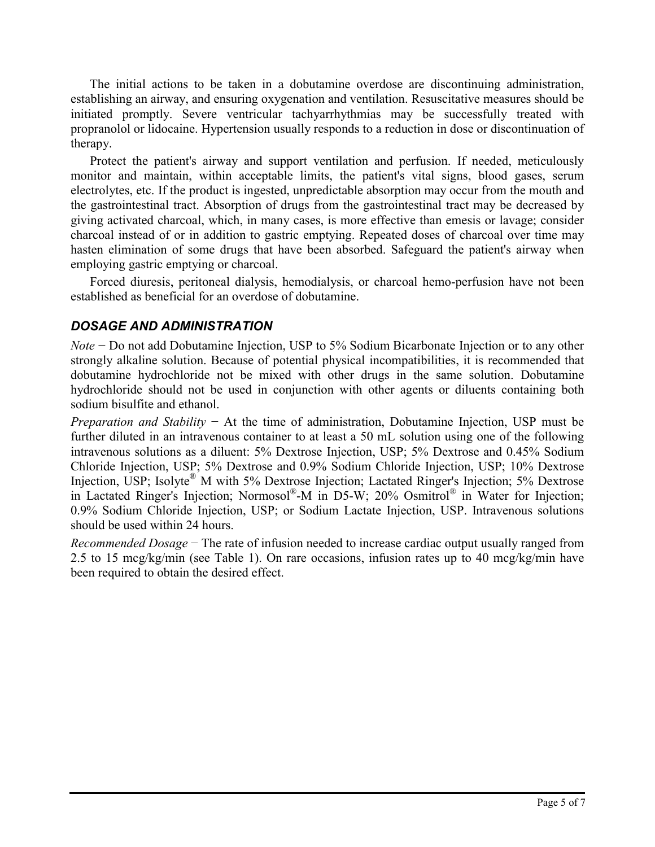The initial actions to be taken in a dobutamine overdose are discontinuing administration, establishing an airway, and ensuring oxygenation and ventilation. Resuscitative measures should be initiated promptly. Severe ventricular tachyarrhythmias may be successfully treated with propranolol or lidocaine. Hypertension usually responds to a reduction in dose or discontinuation of therapy.

Protect the patient's airway and support ventilation and perfusion. If needed, meticulously monitor and maintain, within acceptable limits, the patient's vital signs, blood gases, serum electrolytes, etc. If the product is ingested, unpredictable absorption may occur from the mouth and the gastrointestinal tract. Absorption of drugs from the gastrointestinal tract may be decreased by giving activated charcoal, which, in many cases, is more effective than emesis or lavage; consider charcoal instead of or in addition to gastric emptying. Repeated doses of charcoal over time may hasten elimination of some drugs that have been absorbed. Safeguard the patient's airway when employing gastric emptying or charcoal.

Forced diuresis, peritoneal dialysis, hemodialysis, or charcoal hemo-perfusion have not been established as beneficial for an overdose of dobutamine.

#### *DOSAGE AND ADMINISTRATION*

*Note* − Do not add Dobutamine Injection, USP to 5% Sodium Bicarbonate Injection or to any other strongly alkaline solution. Because of potential physical incompatibilities, it is recommended that dobutamine hydrochloride not be mixed with other drugs in the same solution. Dobutamine hydrochloride should not be used in conjunction with other agents or diluents containing both sodium bisulfite and ethanol.

*Preparation and Stability* − At the time of administration, Dobutamine Injection, USP must be further diluted in an intravenous container to at least a 50 mL solution using one of the following intravenous solutions as a diluent: 5% Dextrose Injection, USP; 5% Dextrose and 0.45% Sodium Chloride Injection, USP; 5% Dextrose and 0.9% Sodium Chloride Injection, USP; 10% Dextrose Injection, USP; Isolyte<sup>®</sup> M with 5% Dextrose Injection; Lactated Ringer's Injection; 5% Dextrose in Lactated Ringer's Injection; Normosol® -M in D5-W; 20% Osmitrol® in Water for Injection; 0.9% Sodium Chloride Injection, USP; or Sodium Lactate Injection, USP. Intravenous solutions should be used within 24 hours.

*Recommended Dosage* − The rate of infusion needed to increase cardiac output usually ranged from 2.5 to 15 mcg/kg/min (see Table 1). On rare occasions, infusion rates up to 40 mcg/kg/min have been required to obtain the desired effect.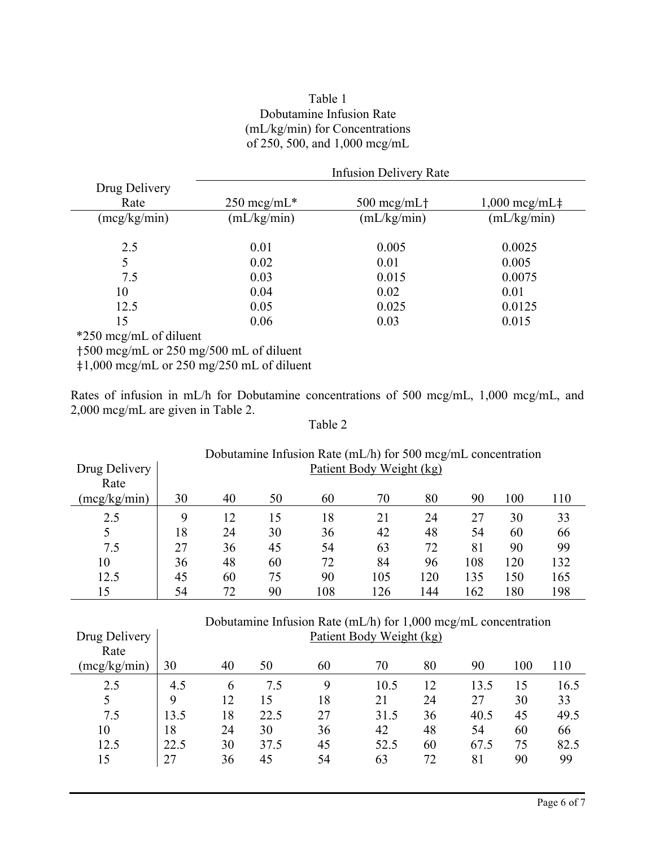#### Table 1 Dobutamine Infusion Rate (mL/kg/min) for Concentrations of 250, 500, and 1,000 mcg/mL

|               | <b>Infusion Delivery Rate</b> |                     |                       |  |  |  |  |  |
|---------------|-------------------------------|---------------------|-----------------------|--|--|--|--|--|
| Drug Delivery |                               |                     |                       |  |  |  |  |  |
| Rate          | $250 \text{~mg/mL}$ *         | $500 \text{~mg/mL}$ | $1,000 \text{~mg/mL}$ |  |  |  |  |  |
| (mcg/kg/min)  | (mL/kg/min)                   | (mL/kg/min)         | (mL/kg/min)           |  |  |  |  |  |
| 2.5           | 0.01                          | 0.005               | 0.0025                |  |  |  |  |  |
| 5             | 0.02                          | 0.01                | 0.005                 |  |  |  |  |  |
| 7.5           | 0.03                          | 0.015               | 0.0075                |  |  |  |  |  |
| 10            | 0.04                          | 0.02                | 0.01                  |  |  |  |  |  |
| 12.5          | 0.05                          | 0.025               | 0.0125                |  |  |  |  |  |
| 15            | 0.06                          | 0.03                | 0.015                 |  |  |  |  |  |

\*250 mcg/mL of diluent

Drug Delivery

†500 mcg/mL or 250 mg/500 mL of diluent

‡1,000 mcg/mL or 250 mg/250 mL of diluent

Rates of infusion in mL/h for Dobutamine concentrations of 500 mcg/mL, 1,000 mcg/mL, and 2,000 mcg/mL are given in Table 2.

#### Table 2

| Dobutamine Infusion Rate ( $mL/h$ ) for 500 mcg/mL concentration |                          |    |    |     |     |     |     |     |     |
|------------------------------------------------------------------|--------------------------|----|----|-----|-----|-----|-----|-----|-----|
| Drug Delivery                                                    | Patient Body Weight (kg) |    |    |     |     |     |     |     |     |
| Rate                                                             |                          |    |    |     |     |     |     |     |     |
| (mcg/kg/min)                                                     | 30                       | 40 | 50 | 60  | 70  | 80  | 90  | 100 | 110 |
| 2.5                                                              | 9                        | 12 | 15 | 18  | 21  | 24  | 27  | 30  | 33  |
|                                                                  | 18                       | 24 | 30 | 36  | 42  | 48  | 54  | 60  | 66  |
| 7.5                                                              | 27                       | 36 | 45 | 54  | 63  | 72  | 81  | 90  | 99  |
| 10                                                               | 36                       | 48 | 60 | 72  | 84  | 96  | 108 | 120 | 132 |
| 12.5                                                             | 45                       | 60 | 75 | 90  | 105 | 120 | 135 | 150 | 165 |
| 15                                                               | 54                       | 72 | 90 | 108 | 126 | 144 | 162 | 180 | 198 |

|          | Dobutamine Infusion Rate (mL/h) for $1,000 \text{~mg/mL}$ concentration |
|----------|-------------------------------------------------------------------------|
| Delivery | Patient Body Weight (kg)                                                |
| Rate     |                                                                         |

| Rate         |      |    |      |    |      |    |      |     |      |
|--------------|------|----|------|----|------|----|------|-----|------|
| (mcg/kg/min) | 30   | 40 | 50   | 60 | 70   | 80 | 90   | 100 | 110  |
| 2.5          | 4.5  | 6  | 7.5  | 9  | 10.5 | 12 | 13.5 | 15  | 16.5 |
|              | 9    | 12 | 15   | 18 | 21   | 24 | 27   | 30  | 33   |
| 7.5          | 13.5 | 18 | 22.5 | 27 | 31.5 | 36 | 40.5 | 45  | 49.5 |
| 10           | 18   | 24 | 30   | 36 | 42   | 48 | 54   | 60  | 66   |
| 12.5         | 22.5 | 30 | 37.5 | 45 | 52.5 | 60 | 67.5 | 75  | 82.5 |
| 15           | 27   | 36 | 45   | 54 | 63   | 72 | 81   | 90  | 99   |